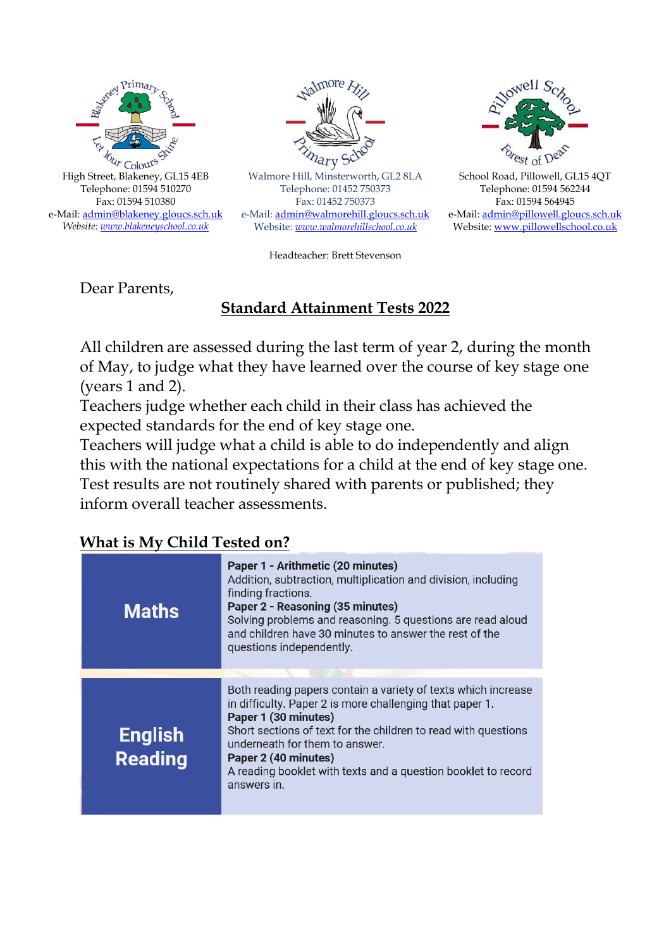



Walmore Hill, Minsterworth, GL2 8LA Telephone: 01452 750373 Fax: 01452 750373 e-Mail[: admin@walmorehill.gloucs.sch.uk](mailto:admin@walmorehill.gloucs.sch.uk) Website: *[www.walmorehillschool.co.uk](http://www.walmorehillschool.co.uk/)*



School Road, Pillowell, GL15 4QT Telephone: 01594 562244 Fax: 01594 564945 e-Mail: [admin@pillowell.gloucs.sch.uk](mailto:admin@pillowell.gloucs.sch.uk) Website[: www.pillowellschool.co.uk](http://www.pillowellschool.co.uk/)

Headteacher: Brett Stevenson

Dear Parents,

## **Standard Attainment Tests 2022**

All children are assessed during the last term of year 2, during the month of May, to judge what they have learned over the course of key stage one (years 1 and 2).

Teachers judge whether each child in their class has achieved the expected standards for the end of key stage one.

Teachers will judge what a child is able to do independently and align this with the national expectations for a child at the end of key stage one. Test results are not routinely shared with parents or published; they inform overall teacher assessments.

## **What is My Child Tested on?**

| <b>Maths</b>                     | Paper 1 - Arithmetic (20 minutes)<br>Addition, subtraction, multiplication and division, including<br>finding fractions.<br>Paper 2 - Reasoning (35 minutes)<br>Solving problems and reasoning. 5 questions are read aloud<br>and children have 30 minutes to answer the rest of the<br>questions independently.                                              |
|----------------------------------|---------------------------------------------------------------------------------------------------------------------------------------------------------------------------------------------------------------------------------------------------------------------------------------------------------------------------------------------------------------|
|                                  |                                                                                                                                                                                                                                                                                                                                                               |
| <b>English</b><br><b>Reading</b> | Both reading papers contain a variety of texts which increase<br>in difficulty. Paper 2 is more challenging that paper 1.<br>Paper 1 (30 minutes)<br>Short sections of text for the children to read with questions<br>underneath for them to answer.<br>Paper 2 (40 minutes)<br>A reading booklet with texts and a question booklet to record<br>answers in. |